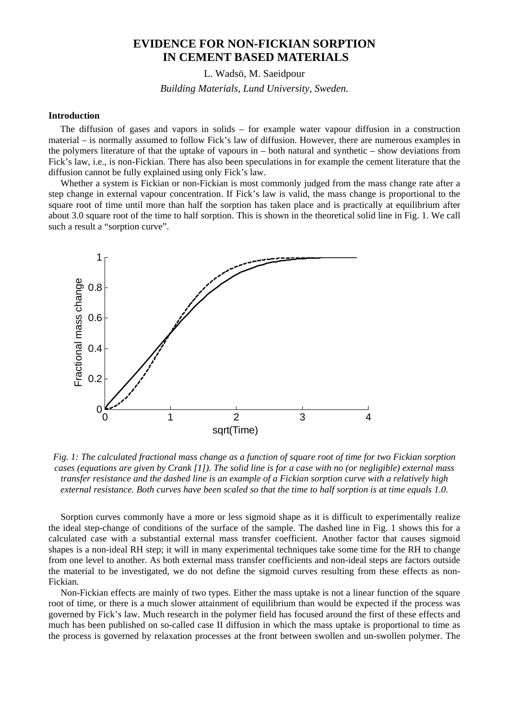# **EVIDENCE FOR NON-FICKIAN SORPTION IN CEMENT BASED MATERIALS**

L. Wadsö, M. Saeidpour

*Building Materials, Lund University, Sweden.* 

### **Introduction**

The diffusion of gases and vapors in solids – for example water vapour diffusion in a construction material – is normally assumed to follow Fick's law of diffusion. However, there are numerous examples in the polymers literature of that the uptake of vapours in – both natural and synthetic – show deviations from Fick's law, i.e., is non-Fickian. There has also been speculations in for example the cement literature that the diffusion cannot be fully explained using only Fick's law.

 Whether a system is Fickian or non-Fickian is most commonly judged from the mass change rate after a step change in external vapour concentration. If Fick's law is valid, the mass change is proportional to the square root of time until more than half the sorption has taken place and is practically at equilibrium after about 3.0 square root of the time to half sorption. This is shown in the theoretical solid line in Fig. 1. We call such a result a "sorption curve".



*Fig. 1: The calculated fractional mass change as a function of square root of time for two Fickian sorption cases (equations are given by Crank [1]). The solid line is for a case with no (or negligible) external mass transfer resistance and the dashed line is an example of a Fickian sorption curve with a relatively high external resistance. Both curves have been scaled so that the time to half sorption is at time equals 1.0.* 

 Sorption curves commonly have a more or less sigmoid shape as it is difficult to experimentally realize the ideal step-change of conditions of the surface of the sample. The dashed line in Fig. 1 shows this for a calculated case with a substantial external mass transfer coefficient. Another factor that causes sigmoid shapes is a non-ideal RH step; it will in many experimental techniques take some time for the RH to change from one level to another. As both external mass transfer coefficients and non-ideal steps are factors outside the material to be investigated, we do not define the sigmoid curves resulting from these effects as non-Fickian.

 Non-Fickian effects are mainly of two types. Either the mass uptake is not a linear function of the square root of time, or there is a much slower attainment of equilibrium than would be expected if the process was governed by Fick's law. Much research in the polymer field has focused around the first of these effects and much has been published on so-called case II diffusion in which the mass uptake is proportional to time as the process is governed by relaxation processes at the front between swollen and un-swollen polymer. The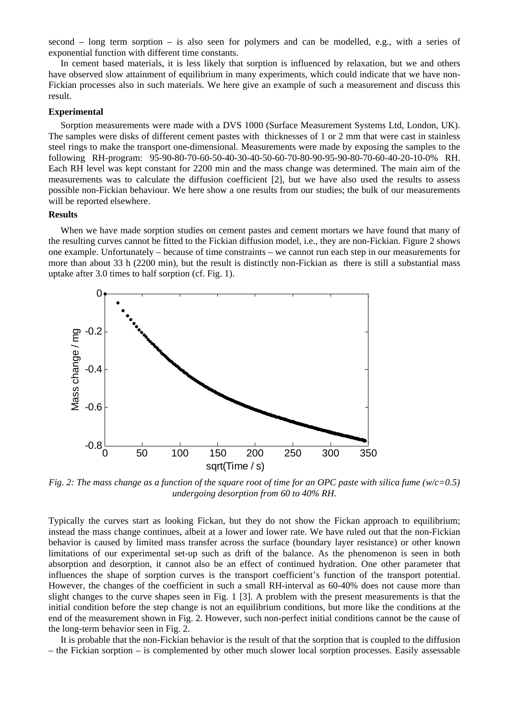second – long term sorption – is also seen for polymers and can be modelled, e.g., with a series of exponential function with different time constants.

 In cement based materials, it is less likely that sorption is influenced by relaxation, but we and others have observed slow attainment of equilibrium in many experiments, which could indicate that we have non-Fickian processes also in such materials. We here give an example of such a measurement and discuss this result.

#### **Experimental**

Sorption measurements were made with a DVS 1000 (Surface Measurement Systems Ltd, London, UK). The samples were disks of different cement pastes with thicknesses of 1 or 2 mm that were cast in stainless steel rings to make the transport one-dimensional. Measurements were made by exposing the samples to the following RH-program: 95-90-80-70-60-50-40-30-40-50-60-70-80-90-95-90-80-70-60-40-20-10-0% RH. Each RH level was kept constant for 2200 min and the mass change was determined. The main aim of the measurements was to calculate the diffusion coefficient [2], but we have also used the results to assess possible non-Fickian behaviour. We here show a one results from our studies; the bulk of our measurements will be reported elsewhere.

#### **Results**

 When we have made sorption studies on cement pastes and cement mortars we have found that many of the resulting curves cannot be fitted to the Fickian diffusion model, i.e., they are non-Fickian. Figure 2 shows one example. Unfortunately – because of time constraints – we cannot run each step in our measurements for more than about 33 h (2200 min), but the result is distinctly non-Fickian as there is still a substantial mass uptake after 3.0 times to half sorption (cf. Fig. 1).



*Fig. 2: The mass change as a function of the square root of time for an OPC paste with silica fume (w/c=0.5) undergoing desorption from 60 to 40% RH.* 

Typically the curves start as looking Fickan, but they do not show the Fickan approach to equilibrium; instead the mass change continues, albeit at a lower and lower rate. We have ruled out that the non-Fickian behavior is caused by limited mass transfer across the surface (boundary layer resistance) or other known limitations of our experimental set-up such as drift of the balance. As the phenomenon is seen in both absorption and desorption, it cannot also be an effect of continued hydration. One other parameter that influences the shape of sorption curves is the transport coefficient's function of the transport potential. However, the changes of the coefficient in such a small RH-interval as 60-40% does not cause more than slight changes to the curve shapes seen in Fig. 1 [3]. A problem with the present measurements is that the initial condition before the step change is not an equilibrium conditions, but more like the conditions at the end of the measurement shown in Fig. 2. However, such non-perfect initial conditions cannot be the cause of the long-term behavior seen in Fig. 2.

 It is probable that the non-Fickian behavior is the result of that the sorption that is coupled to the diffusion – the Fickian sorption – is complemented by other much slower local sorption processes. Easily assessable